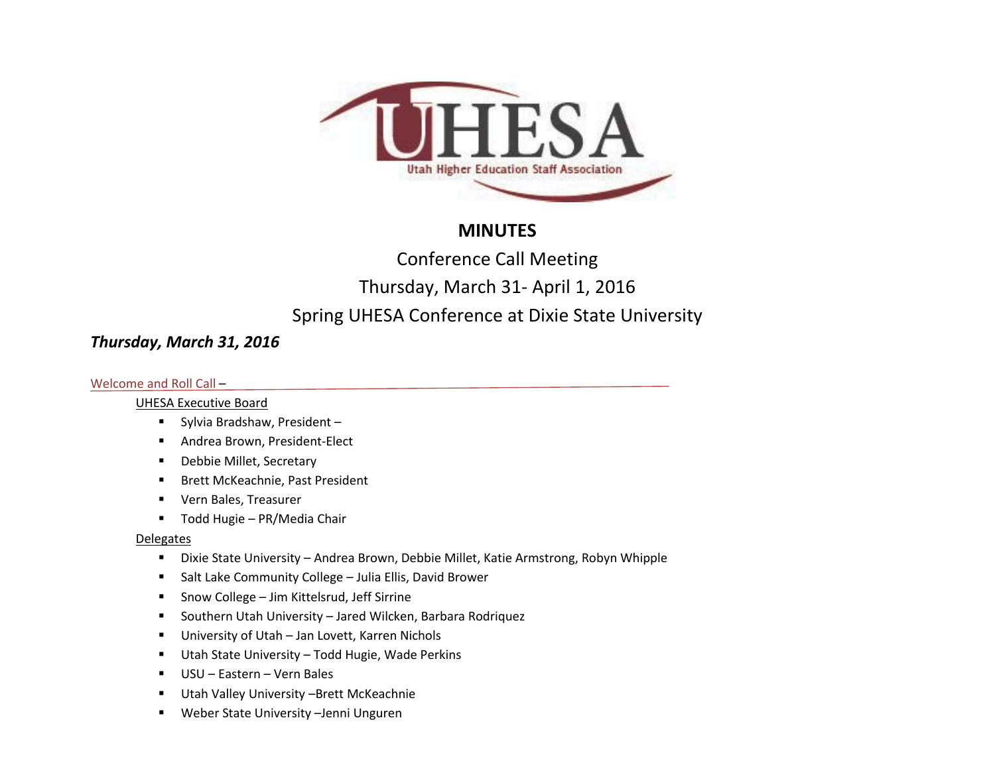

# **MINUTES**

Conference Call Meeting

Thursday, March 31- April 1, 2016

# Spring UHESA Conference at Dixie State University

# *Thursday, March 31, 2016*

### Welcome and Roll Call –

### UHESA Executive Board

- Sylvia Bradshaw, President -
- **Andrea Brown, President-Elect**
- **-** Debbie Millet, Secretary
- **Brett McKeachnie, Past President**
- Vern Bales, Treasurer
- Todd Hugie PR/Media Chair

### **Delegates**

- Dixie State University Andrea Brown, Debbie Millet, Katie Armstrong, Robyn Whipple
- **5 Salt Lake Community College Julia Ellis, David Brower**
- Snow College Jim Kittelsrud, Jeff Sirrine
- Southern Utah University Jared Wilcken, Barbara Rodriquez
- University of Utah Jan Lovett, Karren Nichols
- Utah State University Todd Hugie, Wade Perkins
- USU Eastern Vern Bales
- **Utah Valley University -Brett McKeachnie**
- Weber State University –Jenni Unguren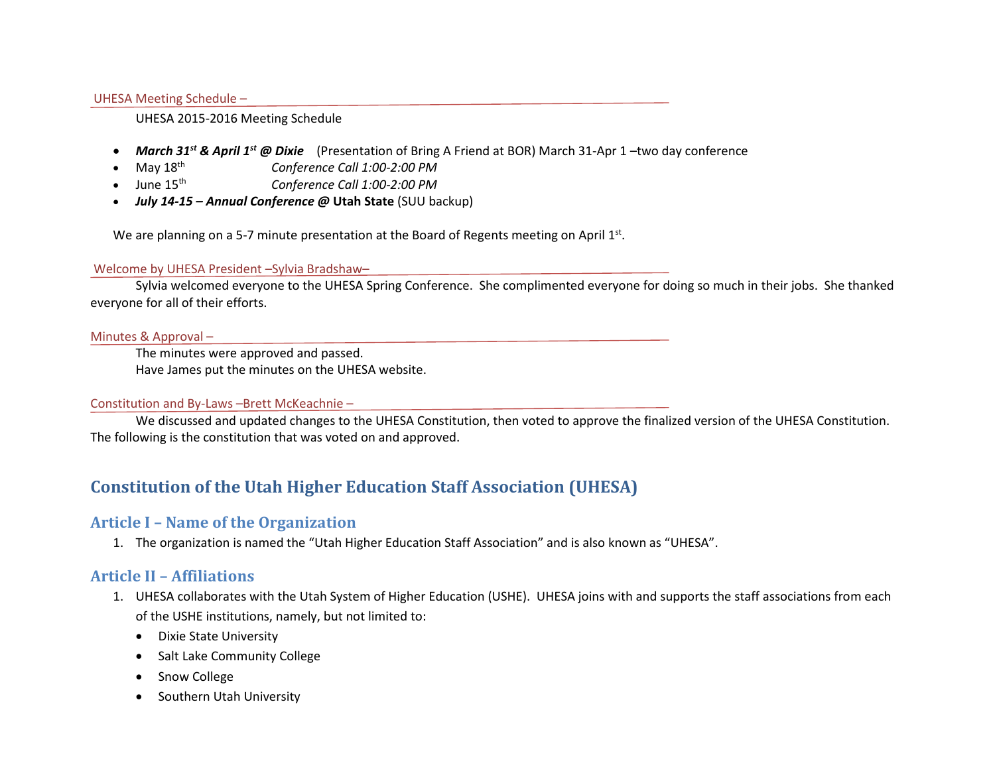#### UHESA Meeting Schedule –

#### UHESA 2015-2016 Meeting Schedule

- *March 31st & April 1st @ Dixie* (Presentation of Bring A Friend at BOR) March 31-Apr 1 –two day conference
- May 18th *Conference Call 1:00-2:00 PM*
- June 15th *Conference Call 1:00-2:00 PM*
- *July 14-15 – Annual Conference @* **Utah State** (SUU backup)

We are planning on a 5-7 minute presentation at the Board of Regents meeting on April 1st.

#### Welcome by UHESA President –Sylvia Bradshaw–

Sylvia welcomed everyone to the UHESA Spring Conference. She complimented everyone for doing so much in their jobs. She thanked everyone for all of their efforts.

#### Minutes & Approval –

The minutes were approved and passed. Have James put the minutes on the UHESA website.

### Constitution and By-Laws –Brett McKeachnie –

We discussed and updated changes to the UHESA Constitution, then voted to approve the finalized version of the UHESA Constitution. The following is the constitution that was voted on and approved.

# **Constitution of the Utah Higher Education Staff Association (UHESA)**

## **Article I – Name of the Organization**

1. The organization is named the "Utah Higher Education Staff Association" and is also known as "UHESA".

## **Article II – Affiliations**

- 1. UHESA collaborates with the Utah System of Higher Education (USHE). UHESA joins with and supports the staff associations from each of the USHE institutions, namely, but not limited to:
	- Dixie State University
	- Salt Lake Community College
	- Snow College
	- Southern Utah University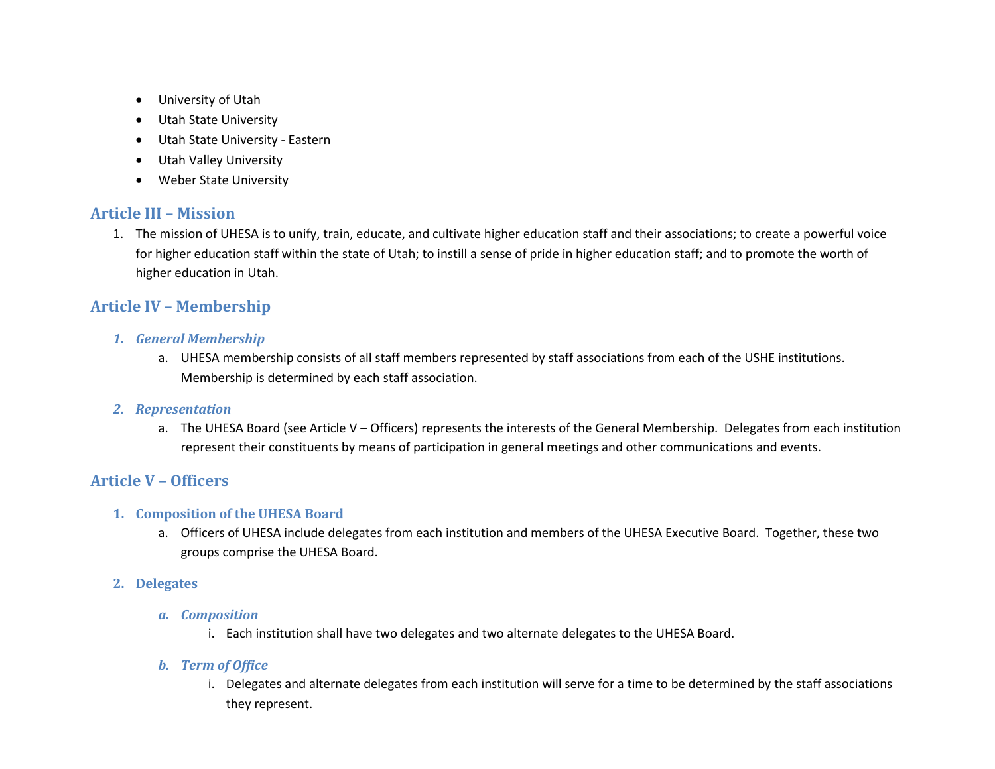- University of Utah
- Utah State University
- Utah State University Eastern
- Utah Valley University
- Weber State University

# **Article III – Mission**

1. The mission of UHESA is to unify, train, educate, and cultivate higher education staff and their associations; to create a powerful voice for higher education staff within the state of Utah; to instill a sense of pride in higher education staff; and to promote the worth of higher education in Utah.

# **Article IV – Membership**

- *1. General Membership*
	- a. UHESA membership consists of all staff members represented by staff associations from each of the USHE institutions. Membership is determined by each staff association.

## *2. Representation*

a. The UHESA Board (see Article V – Officers) represents the interests of the General Membership. Delegates from each institution represent their constituents by means of participation in general meetings and other communications and events.

# **Article V – Officers**

## **1. Composition of the UHESA Board**

- a. Officers of UHESA include delegates from each institution and members of the UHESA Executive Board. Together, these two groups comprise the UHESA Board.
- **2. Delegates**
	- *a. Composition*
		- i. Each institution shall have two delegates and two alternate delegates to the UHESA Board.

## *b. Term of Office*

i. Delegates and alternate delegates from each institution will serve for a time to be determined by the staff associations they represent.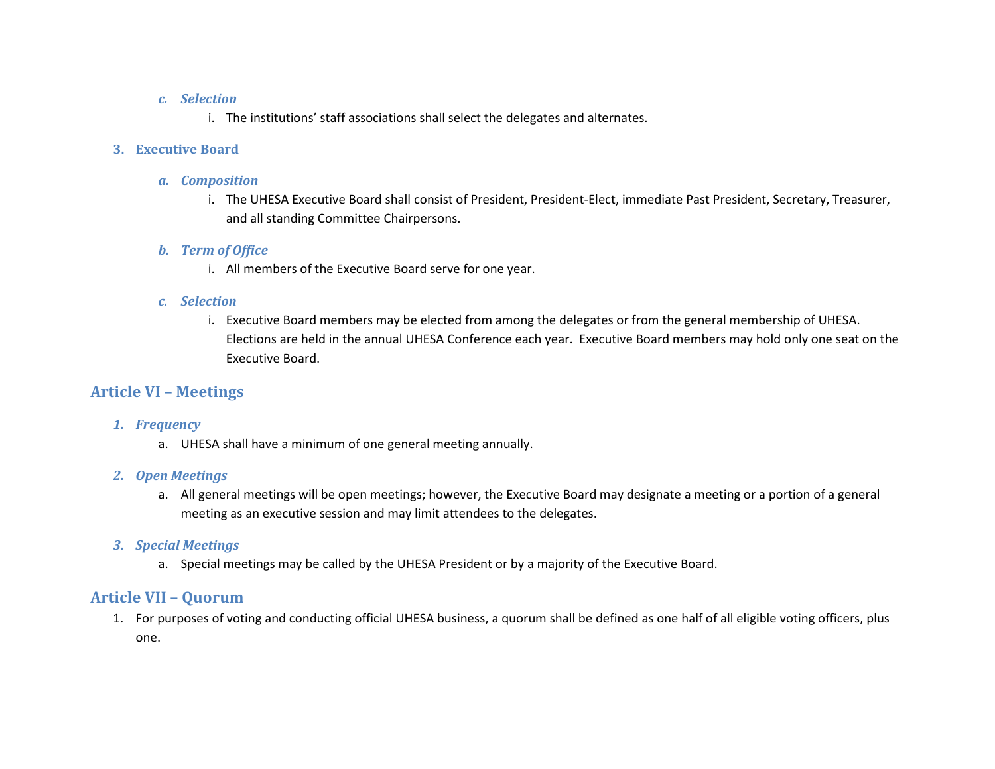### *c. Selection*

i. The institutions' staff associations shall select the delegates and alternates.

## **3. Executive Board**

## *a. Composition*

i. The UHESA Executive Board shall consist of President, President-Elect, immediate Past President, Secretary, Treasurer, and all standing Committee Chairpersons.

## *b. Term of Office*

i. All members of the Executive Board serve for one year.

## *c. Selection*

i. Executive Board members may be elected from among the delegates or from the general membership of UHESA. Elections are held in the annual UHESA Conference each year. Executive Board members may hold only one seat on the Executive Board.

# **Article VI – Meetings**

## *1. Frequency*

a. UHESA shall have a minimum of one general meeting annually.

## *2. Open Meetings*

a. All general meetings will be open meetings; however, the Executive Board may designate a meeting or a portion of a general meeting as an executive session and may limit attendees to the delegates.

## *3. Special Meetings*

a. Special meetings may be called by the UHESA President or by a majority of the Executive Board.

# **Article VII – Quorum**

1. For purposes of voting and conducting official UHESA business, a quorum shall be defined as one half of all eligible voting officers, plus one.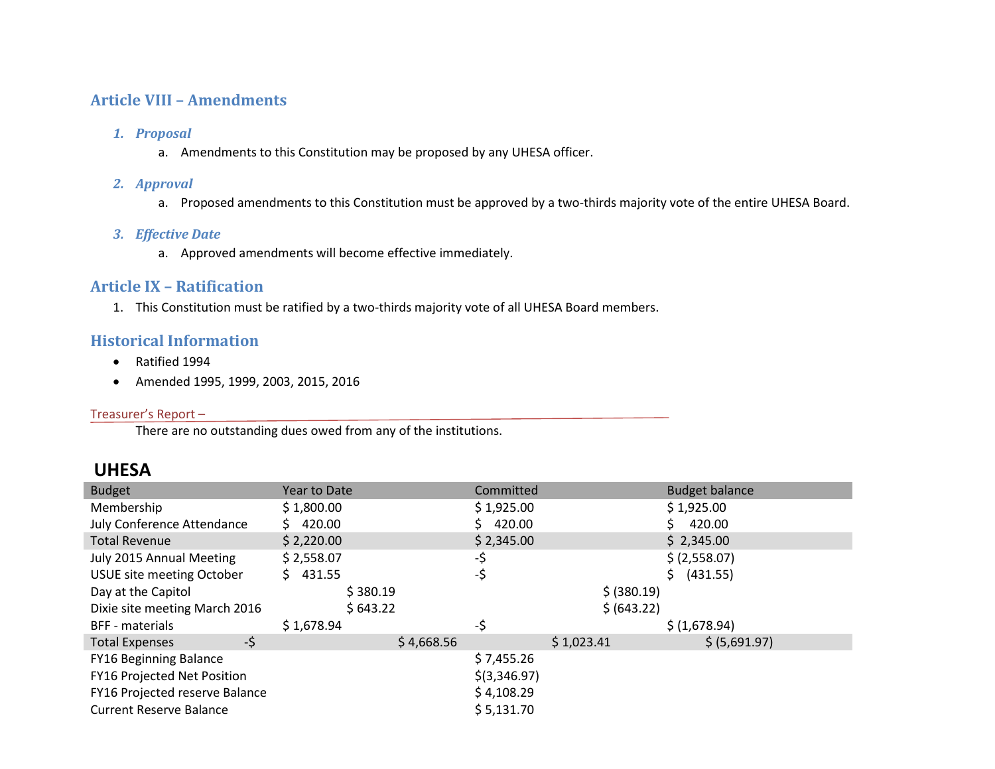# **Article VIII – Amendments**

### *1. Proposal*

a. Amendments to this Constitution may be proposed by any UHESA officer.

### *2. Approval*

a. Proposed amendments to this Constitution must be approved by a two-thirds majority vote of the entire UHESA Board.

## *3. Effective Date*

a. Approved amendments will become effective immediately.

## **Article IX – Ratification**

1. This Constitution must be ratified by a two-thirds majority vote of all UHESA Board members.

# **Historical Information**

- Ratified 1994
- Amended 1995, 1999, 2003, 2015, 2016

### Treasurer's Report –

There are no outstanding dues owed from any of the institutions.

# **UHESA**

| <b>Budget</b>                  | <b>Year to Date</b> | Committed      | <b>Budget balance</b> |
|--------------------------------|---------------------|----------------|-----------------------|
| Membership                     | \$1,800.00          | \$1,925.00     | \$1,925.00            |
| July Conference Attendance     | 420.00<br>S.        | 420.00         | 420.00                |
| <b>Total Revenue</b>           | \$2,220.00          | \$2,345.00     | \$2,345.00            |
| July 2015 Annual Meeting       | \$2,558.07          | -\$            | \$ (2,558.07)         |
| USUE site meeting October      | \$431.55            | -\$            | (431.55)<br>S.        |
| Day at the Capitol             | \$380.19            | \$ (380.19)    |                       |
| Dixie site meeting March 2016  | \$643.22            | \$ (643.22)    |                       |
| <b>BFF</b> - materials         | \$1,678.94          | -\$            | \$(1,678.94)          |
| -\$<br><b>Total Expenses</b>   | \$4,668.56          | \$1,023.41     | \$ (5,691.97)         |
| <b>FY16 Beginning Balance</b>  |                     | \$7,455.26     |                       |
| FY16 Projected Net Position    |                     | $$$ (3,346.97) |                       |
| FY16 Projected reserve Balance |                     | \$4,108.29     |                       |
| <b>Current Reserve Balance</b> |                     | \$5,131.70     |                       |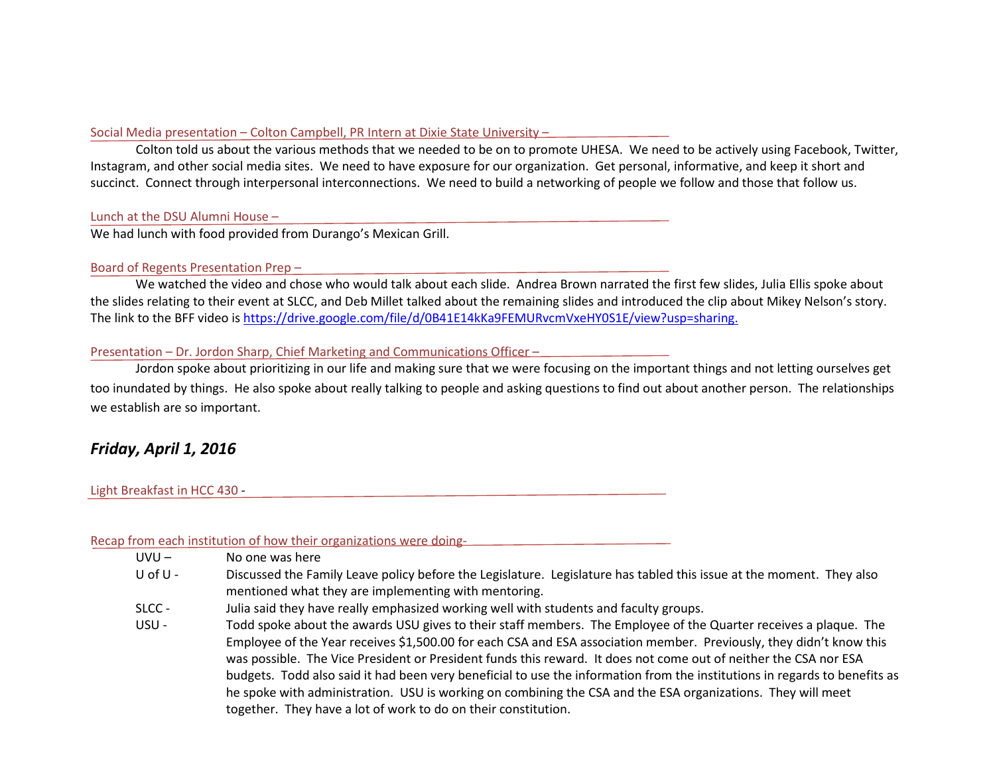#### Social Media presentation – Colton Campbell, PR Intern at Dixie State University –

Colton told us about the various methods that we needed to be on to promote UHESA. We need to be actively using Facebook, Twitter, Instagram, and other social media sites. We need to have exposure for our organization. Get personal, informative, and keep it short and succinct. Connect through interpersonal interconnections. We need to build a networking of people we follow and those that follow us.

#### Lunch at the DSU Alumni House –

We had lunch with food provided from Durango's Mexican Grill.

#### Board of Regents Presentation Prep –

We watched the video and chose who would talk about each slide. Andrea Brown narrated the first few slides, Julia Ellis spoke about the slides relating to their event at SLCC, and Deb Millet talked about the remaining slides and introduced the clip about Mikey Nelson's story. The link to the BFF video i[s https://drive.google.com/file/d/0B41E14kKa9FEMURvcmVxeHY0S1E/view?usp=sharing.](https://drive.google.com/file/d/0B41E14kKa9FEMURvcmVxeHY0S1E/view?usp=sharing)

#### Presentation – Dr. Jordon Sharp, Chief Marketing and Communications Officer –

Jordon spoke about prioritizing in our life and making sure that we were focusing on the important things and not letting ourselves get too inundated by things. He also spoke about really talking to people and asking questions to find out about another person. The relationships we establish are so important.

# *Friday, April 1, 2016*

#### Light Breakfast in HCC 430 -

Recap from each institution of how their organizations were doing-

- UVU No one was here
- U of U Discussed the Family Leave policy before the Legislature. Legislature has tabled this issue at the moment. They also mentioned what they are implementing with mentoring.
- SLCC Julia said they have really emphasized working well with students and faculty groups.
- USU Todd spoke about the awards USU gives to their staff members. The Employee of the Quarter receives a plaque. The Employee of the Year receives \$1,500.00 for each CSA and ESA association member. Previously, they didn't know this was possible. The Vice President or President funds this reward. It does not come out of neither the CSA nor ESA budgets. Todd also said it had been very beneficial to use the information from the institutions in regards to benefits as he spoke with administration. USU is working on combining the CSA and the ESA organizations. They will meet together. They have a lot of work to do on their constitution.